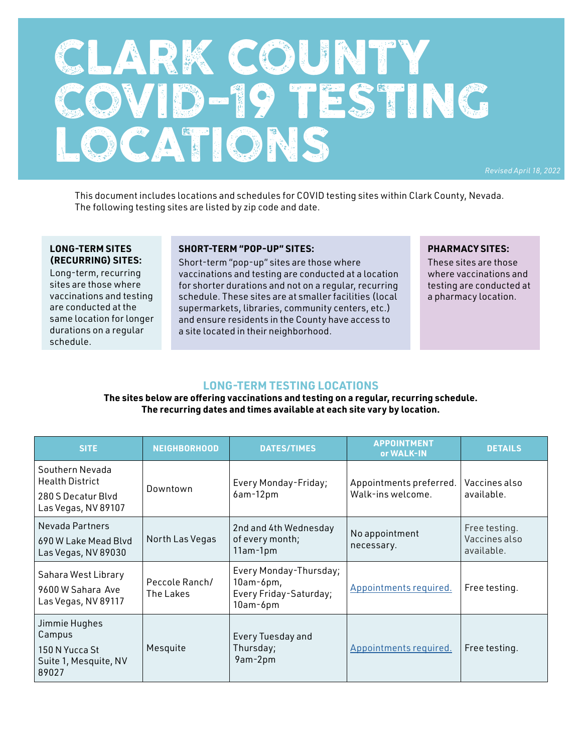# CLARK COUNTY COVID-19 TESTING LOCATIONS

*Revised April 18, 2022*

This document includes locations and schedules for COVID testing sites within Clark County, Nevada. The following testing sites are listed by zip code and date.

#### **LONG-TERM SITES (RECURRING) SITES:**

Long-term, recurring sites are those where vaccinations and testing are conducted at the same location for longer durations on a regular schedule.

#### **SHORT-TERM "POP-UP" SITES:**

Short-term "pop-up" sites are those where vaccinations and testing are conducted at a location for shorter durations and not on a regular, recurring schedule. These sites are at smaller facilities (local supermarkets, libraries, community centers, etc.) and ensure residents in the County have access to a site located in their neighborhood.

#### **PHARMACY SITES:**

These sites are those where vaccinations and testing are conducted at a pharmacy location.

#### **LONG-TERM TESTING LOCATIONS**

**The sites below are offering vaccinations and testing on a regular, recurring schedule. The recurring dates and times available at each site vary by location.** 

| <b>SITE</b>                                                                            | <b>NEIGHBORHOOD</b>         | <b>DATES/TIMES</b>                                                          | <b>APPOINTMENT</b><br>or WALK-IN             | <b>DETAILS</b>                               |
|----------------------------------------------------------------------------------------|-----------------------------|-----------------------------------------------------------------------------|----------------------------------------------|----------------------------------------------|
| Southern Nevada<br><b>Health District</b><br>280 S Decatur Blvd<br>Las Vegas, NV 89107 | Downtown                    | Every Monday-Friday;<br>6am-12pm                                            | Appointments preferred.<br>Walk-ins welcome. | Vaccines also<br>available.                  |
| Nevada Partners<br>690 W Lake Mead Blyd<br>Las Vegas, NV 89030                         | North Las Vegas             | 2nd and 4th Wednesday<br>of every month;<br>11am-1pm                        | No appointment<br>necessary.                 | Free testing.<br>Vaccines also<br>available. |
| Sahara West Library<br>9600 W Sahara Ave<br>Las Vegas, NV 89117                        | Peccole Ranch/<br>The Lakes | Every Monday-Thursday;<br>$10am-6pm,$<br>Every Friday-Saturday;<br>10am-6pm | Appointments required.                       | Free testing.                                |
| Jimmie Hughes<br>Campus<br>150 N Yucca St<br>Suite 1, Mesquite, NV<br>89027            | Mesquite                    | Every Tuesday and<br>Thursday;<br>9am-2pm                                   | Appointments required.                       | Free testing.                                |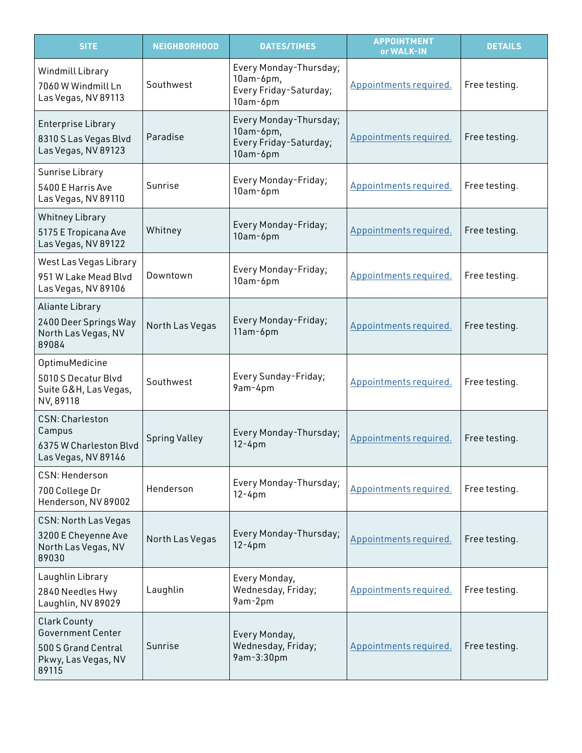| <b>SITE</b>                                                                                            | <b>NEIGHBORHOOD</b>  | <b>DATES/TIMES</b>                                                          | <b>APPOINTMENT</b><br>or WALK-IN | <b>DETAILS</b> |
|--------------------------------------------------------------------------------------------------------|----------------------|-----------------------------------------------------------------------------|----------------------------------|----------------|
| Windmill Library<br>7060 W Windmill Ln<br>Las Vegas, NV 89113                                          | Southwest            | Every Monday-Thursday;<br>$10am-6pm,$<br>Every Friday-Saturday;<br>10am-6pm | Appointments required.           | Free testing.  |
| <b>Enterprise Library</b><br>8310 S Las Vegas Blvd<br>Las Vegas, NV 89123                              | Paradise             | Every Monday-Thursday;<br>$10am-6pm,$<br>Every Friday-Saturday;<br>10am-6pm | Appointments required.           | Free testing.  |
| Sunrise Library<br>5400 E Harris Ave<br>Las Vegas, NV 89110                                            | Sunrise              | Every Monday-Friday;<br>10am-6pm                                            | Appointments required.           | Free testing.  |
| <b>Whitney Library</b><br>5175 E Tropicana Ave<br>Las Vegas, NV 89122                                  | Whitney              | Every Monday-Friday;<br>10am-6pm                                            | Appointments required.           | Free testing.  |
| West Las Vegas Library<br>951 W Lake Mead Blvd<br>Las Vegas, NV 89106                                  | Downtown             | Every Monday-Friday;<br>10am-6pm                                            | Appointments required.           | Free testing.  |
| Aliante Library<br>2400 Deer Springs Way<br>North Las Vegas, NV<br>89084                               | North Las Vegas      | Every Monday-Friday;<br>11am-6pm                                            | Appointments required.           | Free testing.  |
| OptimuMedicine<br>5010 S Decatur Blvd<br>Suite G&H, Las Vegas,<br>NV, 89118                            | Southwest            | Every Sunday-Friday;<br>9am-4pm                                             | Appointments required.           | Free testing.  |
| <b>CSN: Charleston</b><br>Campus<br>6375 W Charleston Blvd<br>Las Vegas, NV 89146                      | <b>Spring Valley</b> | Every Monday-Thursday;<br>$12 - 4pm$                                        | Appointments required.           | Free testing.  |
| CSN: Henderson<br>700 College Dr<br>Henderson, NV 89002                                                | Henderson            | Every Monday-Thursday;<br>$12 - 4pm$                                        | Appointments required.           | Free testing.  |
| CSN: North Las Vegas<br>3200 E Cheyenne Ave<br>North Las Vegas, NV<br>89030                            | North Las Vegas      | Every Monday-Thursday;<br>$12 - 4pm$                                        | Appointments required.           | Free testing.  |
| Laughlin Library<br>2840 Needles Hwy<br>Laughlin, NV 89029                                             | Laughlin             | Every Monday,<br>Wednesday, Friday;<br>9am-2pm                              | Appointments required.           | Free testing.  |
| <b>Clark County</b><br><b>Government Center</b><br>500 S Grand Central<br>Pkwy, Las Vegas, NV<br>89115 | Sunrise              | Every Monday,<br>Wednesday, Friday;<br>9am-3:30pm                           | Appointments required.           | Free testing.  |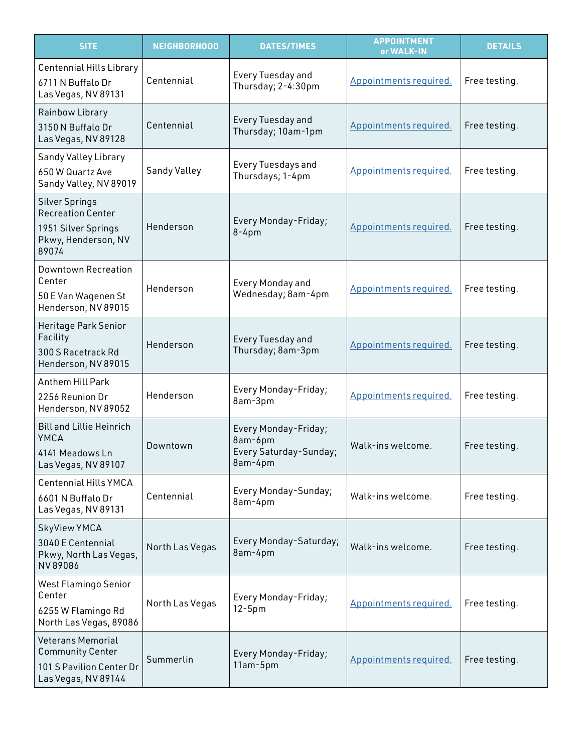| <b>SITE</b>                                                                                              | <b>NEIGHBORHOOD</b> | <b>DATES/TIMES</b>                                                   | <b>APPOINTMENT</b><br>or WALK-IN | <b>DETAILS</b> |
|----------------------------------------------------------------------------------------------------------|---------------------|----------------------------------------------------------------------|----------------------------------|----------------|
| Centennial Hills Library<br>6711 N Buffalo Dr<br>Las Vegas, NV 89131                                     | Centennial          | Every Tuesday and<br>Thursday; 2-4:30pm                              | Appointments required.           | Free testing.  |
| Rainbow Library<br>3150 N Buffalo Dr<br>Las Vegas, NV 89128                                              | Centennial          | Every Tuesday and<br>Thursday; 10am-1pm                              | Appointments required.           | Free testing.  |
| Sandy Valley Library<br>650 W Quartz Ave<br>Sandy Valley, NV 89019                                       | Sandy Valley        | Every Tuesdays and<br>Thursdays; 1-4pm                               | Appointments required.           | Free testing.  |
| <b>Silver Springs</b><br><b>Recreation Center</b><br>1951 Silver Springs<br>Pkwy, Henderson, NV<br>89074 | Henderson           | Every Monday-Friday;<br>$8-4$ pm                                     | Appointments required.           | Free testing.  |
| <b>Downtown Recreation</b><br>Center<br>50 E Van Wagenen St<br>Henderson, NV 89015                       | Henderson           | <b>Every Monday and</b><br>Wednesday; 8am-4pm                        | Appointments required.           | Free testing.  |
| Heritage Park Senior<br>Facility<br>300 S Racetrack Rd<br>Henderson, NV 89015                            | Henderson           | Every Tuesday and<br>Thursday; 8am-3pm                               | Appointments required.           | Free testing.  |
| Anthem Hill Park<br>2256 Reunion Dr<br>Henderson, NV 89052                                               | Henderson           | Every Monday-Friday;<br>8am-3pm                                      | Appointments required.           | Free testing.  |
| <b>Bill and Lillie Heinrich</b><br>YMCA<br>4141 Meadows Ln<br>Las Vegas, NV 89107                        | Downtown            | Every Monday-Friday;<br>8am-6pm<br>Every Saturday-Sunday;<br>8am-4pm | Walk-ins welcome.                | Free testing.  |
| Centennial Hills YMCA<br>6601 N Buffalo Dr<br>Las Vegas, NV 89131                                        | Centennial          | Every Monday-Sunday;<br>8am-4pm                                      | Walk-ins welcome.                | Free testing.  |
| SkyView YMCA<br>3040 E Centennial<br>Pkwy, North Las Vegas,<br>NV89086                                   | North Las Vegas     | Every Monday-Saturday;<br>8am-4pm                                    | Walk-ins welcome.                | Free testing.  |
| West Flamingo Senior<br>Center<br>6255 W Flamingo Rd<br>North Las Vegas, 89086                           | North Las Vegas     | Every Monday-Friday;<br>$12-5pm$                                     | Appointments required.           | Free testing.  |
| <b>Veterans Memorial</b><br><b>Community Center</b><br>101 S Pavilion Center Dr<br>Las Vegas, NV 89144   | Summerlin           | Every Monday-Friday;<br>11am-5pm                                     | Appointments required.           | Free testing.  |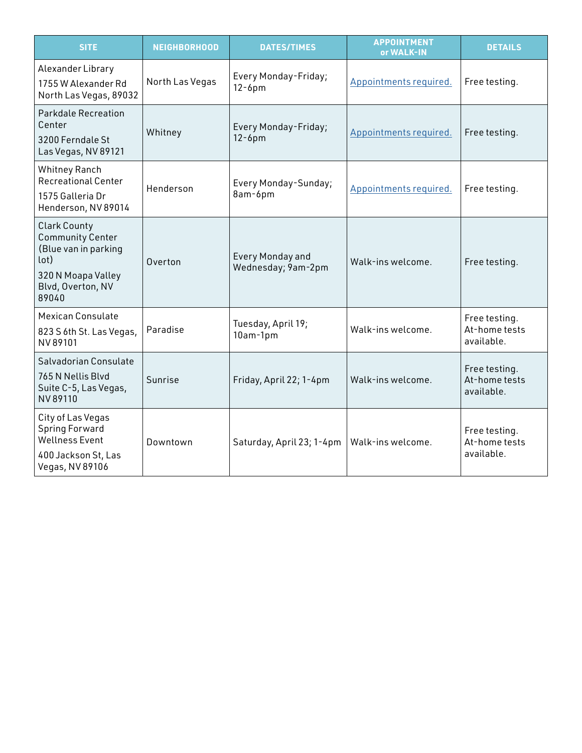| <b>SITE</b>                                                                                                                        | <b>NEIGHBORHOOD</b> | <b>DATES/TIMES</b>                     | <b>APPOINTMENT</b><br>or WALK-IN | <b>DETAILS</b>                               |
|------------------------------------------------------------------------------------------------------------------------------------|---------------------|----------------------------------------|----------------------------------|----------------------------------------------|
| Alexander Library<br>1755 W Alexander Rd<br>North Las Vegas, 89032                                                                 | North Las Vegas     | Every Monday-Friday;<br>$12-6$ pm      | Appointments required.           | Free testing.                                |
| <b>Parkdale Recreation</b><br>Center<br>3200 Ferndale St<br>Las Vegas, NV 89121                                                    | Whitney             | Every Monday-Friday;<br>$12-6$ pm      | Appointments required.           | Free testing.                                |
| <b>Whitney Ranch</b><br><b>Recreational Center</b><br>1575 Galleria Dr<br>Henderson, NV 89014                                      | Henderson           | Every Monday-Sunday;<br>8am-6pm        | Appointments required.           | Free testing.                                |
| <b>Clark County</b><br><b>Community Center</b><br>(Blue van in parking<br>(lot<br>320 N Moapa Valley<br>Blvd, Overton, NV<br>89040 | Overton             | Every Monday and<br>Wednesday; 9am-2pm | Walk-ins welcome.                | Free testing.                                |
| <b>Mexican Consulate</b><br>823 S 6th St. Las Vegas,<br>NV 89101                                                                   | Paradise            | Tuesday, April 19;<br>10am-1pm         | Walk-ins welcome.                | Free testing.<br>At-home tests<br>available. |
| Salvadorian Consulate<br>765 N Nellis Blyd<br>Suite C-5, Las Vegas,<br>NV 89110                                                    | Sunrise             | Friday, April 22; 1-4pm                | Walk-ins welcome.                | Free testing.<br>At-home tests<br>available. |
| City of Las Vegas<br><b>Spring Forward</b><br><b>Wellness Event</b><br>400 Jackson St, Las<br>Vegas, NV 89106                      | Downtown            | Saturday, April 23; 1-4pm              | Walk-ins welcome.                | Free testing.<br>At-home tests<br>available. |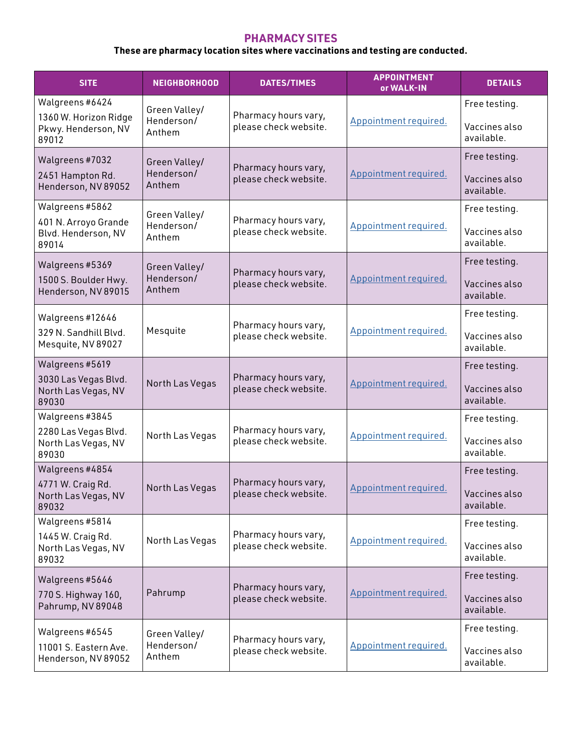## **PHARMACY SITES**

# **These are pharmacy location sites where vaccinations and testing are conducted.**

| <b>SITE</b>                                                              | <b>NEIGHBORHOOD</b>                   | <b>DATES/TIMES</b>                            | <b>APPOINTMENT</b><br>or WALK-IN | <b>DETAILS</b>                               |
|--------------------------------------------------------------------------|---------------------------------------|-----------------------------------------------|----------------------------------|----------------------------------------------|
| Walgreens #6424<br>1360 W. Horizon Ridge<br>Pkwy. Henderson, NV<br>89012 | Green Valley/<br>Henderson/<br>Anthem | Pharmacy hours vary,<br>please check website. | Appointment required.            | Free testing.<br>Vaccines also<br>available. |
| Walgreens #7032<br>2451 Hampton Rd.<br>Henderson, NV 89052               | Green Valley/<br>Henderson/<br>Anthem | Pharmacy hours vary,<br>please check website. | Appointment required.            | Free testing.<br>Vaccines also<br>available. |
| Walgreens #5862<br>401 N. Arroyo Grande<br>Blvd. Henderson, NV<br>89014  | Green Valley/<br>Henderson/<br>Anthem | Pharmacy hours vary,<br>please check website. | Appointment required.            | Free testing.<br>Vaccines also<br>available. |
| Walgreens #5369<br>1500 S. Boulder Hwy.<br>Henderson, NV 89015           | Green Valley/<br>Henderson/<br>Anthem | Pharmacy hours vary,<br>please check website. | Appointment required.            | Free testing.<br>Vaccines also<br>available. |
| Walgreens #12646<br>329 N. Sandhill Blvd.<br>Mesquite, NV 89027          | Mesquite                              | Pharmacy hours vary,<br>please check website. | Appointment required.            | Free testing.<br>Vaccines also<br>available. |
| Walgreens #5619<br>3030 Las Vegas Blvd.<br>North Las Vegas, NV<br>89030  | North Las Vegas                       | Pharmacy hours vary,<br>please check website. | Appointment required.            | Free testing.<br>Vaccines also<br>available. |
| Walgreens #3845<br>2280 Las Vegas Blvd.<br>North Las Vegas, NV<br>89030  | North Las Vegas                       | Pharmacy hours vary,<br>please check website. | Appointment required.            | Free testing.<br>Vaccines also<br>available. |
| Walgreens #4854<br>4771 W. Craig Rd.<br>North Las Vegas, NV<br>89032     | North Las Vegas                       | Pharmacy hours vary,<br>please check website. | Appointment required.            | Free testing.<br>Vaccines also<br>available. |
| Walgreens #5814<br>1445 W. Craig Rd.<br>North Las Vegas, NV<br>89032     | North Las Vegas                       | Pharmacy hours vary,<br>please check website. | Appointment required.            | Free testing.<br>Vaccines also<br>available. |
| Walgreens #5646<br>770 S. Highway 160,<br>Pahrump, NV 89048              | Pahrump                               | Pharmacy hours vary,<br>please check website. | Appointment required.            | Free testing.<br>Vaccines also<br>available. |
| Walgreens #6545<br>11001 S. Eastern Ave.<br>Henderson, NV 89052          | Green Valley/<br>Henderson/<br>Anthem | Pharmacy hours vary,<br>please check website. | Appointment required.            | Free testing.<br>Vaccines also<br>available. |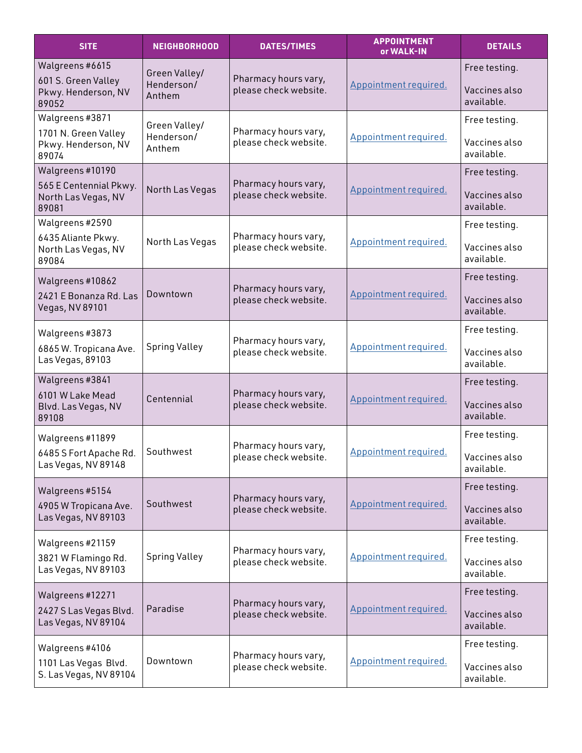| <b>SITE</b>                                            | <b>NEIGHBORHOOD</b>  | <b>DATES/TIMES</b>                            | <b>APPOINTMENT</b><br>or WALK-IN | <b>DETAILS</b>              |
|--------------------------------------------------------|----------------------|-----------------------------------------------|----------------------------------|-----------------------------|
| Walgreens #6615                                        | Green Valley/        |                                               |                                  | Free testing.               |
| 601 S. Green Valley<br>Pkwy. Henderson, NV<br>89052    | Henderson/<br>Anthem | Pharmacy hours vary,<br>please check website. | Appointment required.            | Vaccines also<br>available. |
| Walgreens #3871                                        | Green Valley/        |                                               |                                  | Free testing.               |
| 1701 N. Green Valley<br>Pkwy. Henderson, NV<br>89074   | Henderson/<br>Anthem | Pharmacy hours vary,<br>please check website. | Appointment required.            | Vaccines also<br>available. |
| Walgreens #10190                                       |                      |                                               |                                  | Free testing.               |
| 565 E Centennial Pkwy.<br>North Las Vegas, NV<br>89081 | North Las Vegas      | Pharmacy hours vary,<br>please check website. | Appointment required.            | Vaccines also<br>available. |
| Walgreens #2590                                        |                      |                                               |                                  | Free testing.               |
| 6435 Aliante Pkwy.<br>North Las Vegas, NV<br>89084     | North Las Vegas      | Pharmacy hours vary,<br>please check website. | Appointment required.            | Vaccines also<br>available. |
| Walgreens #10862                                       |                      |                                               |                                  | Free testing.               |
| 2421 E Bonanza Rd. Las<br>Vegas, NV 89101              | Downtown             | Pharmacy hours vary,<br>please check website. | Appointment required.            | Vaccines also<br>available. |
| Walgreens #3873                                        |                      |                                               |                                  | Free testing.               |
| 6865 W. Tropicana Ave.<br>Las Vegas, 89103             | <b>Spring Valley</b> | Pharmacy hours vary,<br>please check website. | Appointment required.            | Vaccines also<br>available. |
| Walgreens #3841                                        |                      |                                               |                                  | Free testing.               |
| 6101 W Lake Mead<br>Blvd. Las Vegas, NV<br>89108       | Centennial           | Pharmacy hours vary,<br>please check website. | Appointment required.            | Vaccines also<br>available. |
| Walgreens #11899                                       |                      |                                               |                                  | Free testing.               |
| 6485 S Fort Apache Rd.<br>Las Vegas, NV 89148          | Southwest            | Pharmacy hours vary,<br>please check website. | Appointment required.            | Vaccines also<br>available. |
| Walgreens #5154                                        |                      |                                               |                                  | Free testing.               |
| 4905 W Tropicana Ave.<br>Las Vegas, NV 89103           | Southwest            | Pharmacy hours vary,<br>please check website. | Appointment required.            | Vaccines also<br>available. |
| Walgreens #21159                                       |                      | Pharmacy hours vary,                          |                                  | Free testing.               |
| 3821 W Flamingo Rd.<br>Las Vegas, NV 89103             | <b>Spring Valley</b> | please check website.                         | Appointment required.            | Vaccines also<br>available. |
| Walgreens #12271                                       |                      |                                               |                                  | Free testing.               |
| 2427 S Las Vegas Blvd.<br>Las Vegas, NV 89104          | Paradise             | Pharmacy hours vary,<br>please check website. | Appointment required.            | Vaccines also<br>available. |
| Walgreens #4106                                        |                      |                                               |                                  | Free testing.               |
| 1101 Las Vegas Blvd.<br>S. Las Vegas, NV 89104         | Downtown             | Pharmacy hours vary,<br>please check website. | Appointment required.            | Vaccines also<br>available. |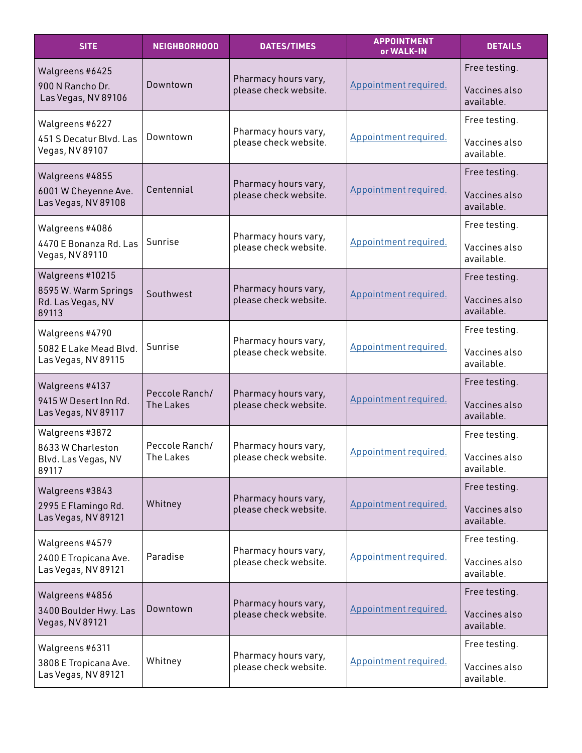| <b>SITE</b>                                        | <b>NEIGHBORHOOD</b> | <b>DATES/TIMES</b>                     | <b>APPOINTMENT</b><br>or WALK-IN | <b>DETAILS</b>              |
|----------------------------------------------------|---------------------|----------------------------------------|----------------------------------|-----------------------------|
| Walgreens #6425                                    |                     | Pharmacy hours vary,                   |                                  | Free testing.               |
| 900 N Rancho Dr.<br>Las Vegas, NV 89106            | Downtown            | please check website.                  | Appointment required.            | Vaccines also<br>available. |
| Walgreens #6227                                    |                     | Pharmacy hours vary,                   |                                  | Free testing.               |
| 451 S Decatur Blvd. Las<br>Vegas, NV 89107         | Downtown            | please check website.                  | Appointment required.            | Vaccines also<br>available. |
| Walgreens #4855                                    |                     | Pharmacy hours vary,                   |                                  | Free testing.               |
| 6001 W Cheyenne Ave.<br>Las Vegas, NV 89108        | Centennial          | please check website.                  | Appointment required.            | Vaccines also<br>available. |
| Walgreens#4086                                     |                     | Pharmacy hours vary,                   |                                  | Free testing.               |
| 4470 E Bonanza Rd. Las<br>Vegas, NV 89110          | Sunrise             | please check website.                  | Appointment required.            | Vaccines also<br>available. |
| Walgreens #10215                                   |                     | Pharmacy hours vary,                   |                                  | Free testing.               |
| 8595 W. Warm Springs<br>Rd. Las Vegas, NV<br>89113 | Southwest           | please check website.                  | Appointment required.            | Vaccines also<br>available. |
| Walgreens #4790                                    |                     | Pharmacy hours vary,                   |                                  | Free testing.               |
| 5082 E Lake Mead Blvd.<br>Las Vegas, NV 89115      | Sunrise             | please check website.                  | Appointment required.            | Vaccines also<br>available. |
| Walgreens #4137                                    |                     | Peccole Ranch/<br>Pharmacy hours vary, |                                  | Free testing.               |
| 9415 W Desert Inn Rd.<br>Las Vegas, NV 89117       | <b>The Lakes</b>    | please check website.                  | Appointment required.            | Vaccines also<br>available. |
| Walgreens #3872<br>8633 W Charleston               | Peccole Ranch/      | Pharmacy hours vary,                   |                                  | Free testing.               |
| Blvd. Las Vegas, NV<br>89117                       | The Lakes           | please check website.                  | Appointment required.            | Vaccines also<br>available. |
| Walgreens #3843                                    |                     | Pharmacy hours vary,                   |                                  | Free testing.               |
| 2995 E Flamingo Rd.<br>Las Vegas, NV 89121         | Whitney             | please check website.                  | Appointment required.            | Vaccines also<br>available. |
| Walgreens #4579                                    |                     | Pharmacy hours vary,                   |                                  | Free testing.               |
| 2400 E Tropicana Ave.<br>Las Vegas, NV 89121       | Paradise            | please check website.                  | Appointment required.            | Vaccines also<br>available. |
| Walgreens #4856                                    |                     | Pharmacy hours vary,                   |                                  | Free testing.               |
| 3400 Boulder Hwy. Las<br>Vegas, NV 89121           | Downtown            | please check website.                  | Appointment required.            | Vaccines also<br>available. |
| Walgreens #6311                                    |                     | Pharmacy hours vary,                   |                                  | Free testing.               |
| 3808 E Tropicana Ave.<br>Las Vegas, NV 89121       | Whitney             | please check website.                  | Appointment required.            | Vaccines also<br>available. |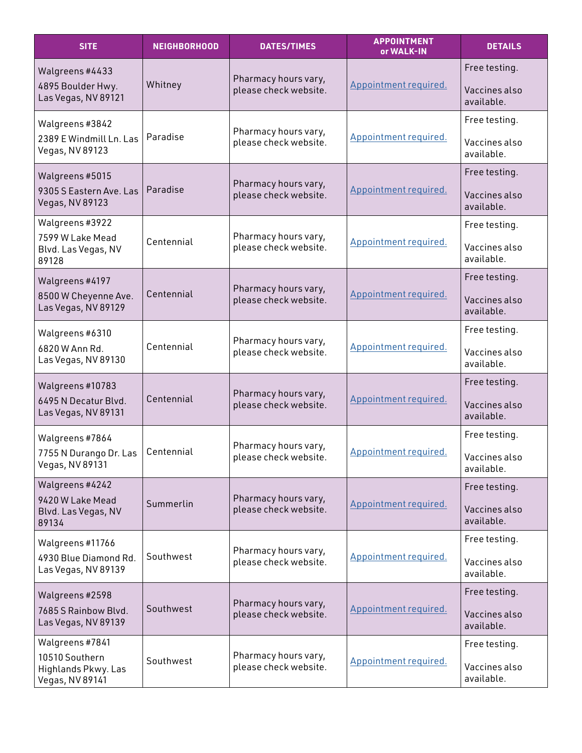| <b>SITE</b>                                      | <b>NEIGHBORHOOD</b> | <b>DATES/TIMES</b>                            | <b>APPOINTMENT</b><br>or WALK-IN | <b>DETAILS</b>              |
|--------------------------------------------------|---------------------|-----------------------------------------------|----------------------------------|-----------------------------|
| Walgreens #4433                                  |                     | Pharmacy hours vary,                          |                                  | Free testing.               |
| 4895 Boulder Hwy.<br>Las Vegas, NV 89121         | Whitney             | please check website.                         | Appointment required.            | Vaccines also<br>available. |
| Walgreens #3842                                  |                     | Pharmacy hours vary,                          |                                  | Free testing.               |
| 2389 E Windmill Ln. Las<br>Vegas, NV 89123       | Paradise            | please check website.                         | Appointment required.            | Vaccines also<br>available. |
| Walgreens #5015                                  |                     | Pharmacy hours vary,                          |                                  | Free testing.               |
| 9305 S Eastern Ave. Las<br>Vegas, NV 89123       | Paradise            | please check website.                         | Appointment required.            | Vaccines also<br>available. |
| Walgreens #3922                                  |                     | Pharmacy hours vary,                          |                                  | Free testing.               |
| 7599 W Lake Mead<br>Blvd. Las Vegas, NV<br>89128 | Centennial          | please check website.                         | Appointment required.            | Vaccines also<br>available. |
| Walgreens #4197                                  |                     | Pharmacy hours vary,                          |                                  | Free testing.               |
| 8500 W Cheyenne Ave.<br>Las Vegas, NV 89129      | Centennial          | please check website.                         | Appointment required.            | Vaccines also<br>available. |
| Walgreens #6310                                  |                     |                                               |                                  | Free testing.               |
| 6820 W Ann Rd.<br>Las Vegas, NV 89130            | Centennial          | Pharmacy hours vary,<br>please check website. | Appointment required.            | Vaccines also<br>available. |
| Walgreens #10783                                 |                     | Pharmacy hours vary,                          |                                  | Free testing.               |
| 6495 N Decatur Blvd.<br>Las Vegas, NV 89131      | Centennial          | please check website.                         | Appointment required.            | Vaccines also<br>available. |
| Walgreens #7864                                  |                     | Pharmacy hours vary,                          |                                  | Free testing.               |
| 7755 N Durango Dr. Las<br>Vegas, NV 89131        | Centennial          | please check website.                         | Appointment required.            | Vaccines also<br>available. |
| Walgreens #4242<br>9420 W Lake Mead              |                     | Pharmacy hours vary,                          |                                  | Free testing.               |
| Blvd. Las Vegas, NV<br>89134                     | Summerlin           | please check website.                         | Appointment required.            | Vaccines also<br>available. |
| Walgreens #11766                                 |                     | Pharmacy hours vary,                          |                                  | Free testing.               |
| 4930 Blue Diamond Rd.<br>Las Vegas, NV 89139     | Southwest           | please check website.                         | Appointment required.            | Vaccines also<br>available. |
| Walgreens #2598                                  |                     | Pharmacy hours vary,                          |                                  | Free testing.               |
| 7685 S Rainbow Blvd.<br>Las Vegas, NV 89139      | Southwest           | please check website.                         | Appointment required.            | Vaccines also<br>available. |
| Walgreens #7841<br>10510 Southern                |                     | Pharmacy hours vary,                          |                                  | Free testing.               |
| Highlands Pkwy. Las<br>Vegas, NV 89141           | Southwest           | please check website.                         | Appointment required.            | Vaccines also<br>available. |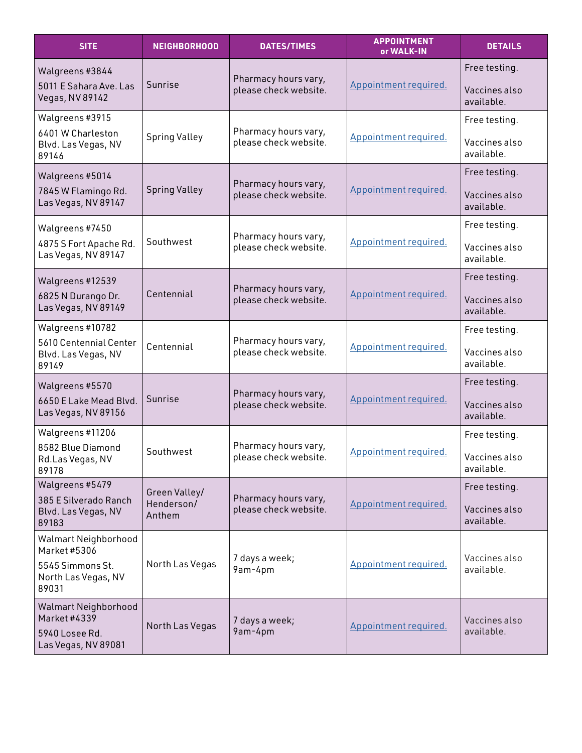| <b>SITE</b>                                                                   | NEIGHBORHOOD         | <b>DATES/TIMES</b>                            | <b>APPOINTMENT</b><br>or WALK-IN | <b>DETAILS</b>              |
|-------------------------------------------------------------------------------|----------------------|-----------------------------------------------|----------------------------------|-----------------------------|
| Walgreens #3844                                                               |                      | Pharmacy hours vary,                          |                                  | Free testing.               |
| 5011 E Sahara Ave. Las<br>Vegas, NV 89142                                     | Sunrise              | please check website.                         | Appointment required.            | Vaccines also<br>available. |
| Walgreens #3915                                                               |                      | Pharmacy hours vary,                          |                                  | Free testing.               |
| 6401 W Charleston<br>Blvd. Las Vegas, NV<br>89146                             | <b>Spring Valley</b> | please check website.                         | Appointment required.            | Vaccines also<br>available. |
| Walgreens #5014                                                               |                      | Pharmacy hours vary,                          |                                  | Free testing.               |
| 7845 W Flamingo Rd.<br>Las Vegas, NV 89147                                    | <b>Spring Valley</b> | please check website.                         | Appointment required.            | Vaccines also<br>available. |
| Walgreens #7450                                                               |                      | Pharmacy hours vary,                          |                                  | Free testing.               |
| 4875 S Fort Apache Rd.<br>Las Vegas, NV 89147                                 | Southwest            | please check website.                         | Appointment required.            | Vaccines also<br>available. |
| Walgreens #12539                                                              |                      |                                               |                                  | Free testing.               |
| 6825 N Durango Dr.<br>Las Vegas, NV 89149                                     | Centennial           | Pharmacy hours vary,<br>please check website. | Appointment required.            | Vaccines also<br>available. |
| Walgreens #10782                                                              |                      |                                               |                                  | Free testing.               |
| 5610 Centennial Center<br>Blvd. Las Vegas, NV<br>89149                        | Centennial           | Pharmacy hours vary,<br>please check website. | Appointment required.            | Vaccines also<br>available. |
| Walgreens #5570                                                               |                      | Pharmacy hours vary,                          |                                  | Free testing.               |
| 6650 E Lake Mead Blvd.<br>Las Vegas, NV 89156                                 | Sunrise              | please check website.                         | Appointment required.            | Vaccines also<br>available. |
| Walgreens #11206                                                              |                      | Pharmacy hours vary,                          |                                  | Free testing.               |
| 8582 Blue Diamond<br>Rd.Las Vegas, NV<br>89178                                | Southwest            | please check website.                         | Appointment required.            | Vaccines also<br>available. |
| Walgreens #5479                                                               | Green Valley/        |                                               |                                  | Free testing.               |
| 385 E Silverado Ranch<br>Blvd. Las Vegas, NV<br>89183                         | Henderson/<br>Anthem | Pharmacy hours vary,<br>please check website. | Appointment required.            | Vaccines also<br>available. |
| Walmart Neighborhood<br>Market #5306                                          |                      |                                               |                                  |                             |
| 5545 Simmons St.<br>North Las Vegas, NV<br>89031                              | North Las Vegas      | 7 days a week;<br>9am-4pm                     | Appointment required.            | Vaccines also<br>available. |
| Walmart Neighborhood<br>Market #4339<br>5940 Losee Rd.<br>Las Vegas, NV 89081 | North Las Vegas      | 7 days a week;<br>9am-4pm                     | Appointment required.            | Vaccines also<br>available. |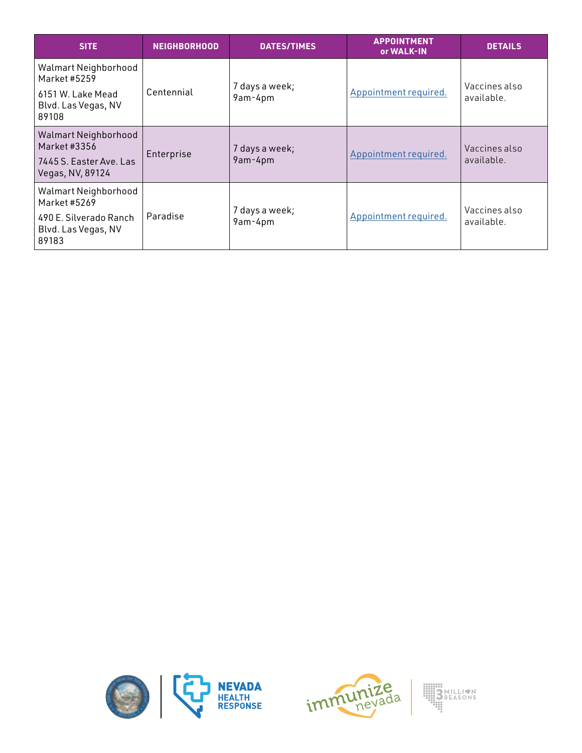| <b>SITE</b>                                                                         | <b>NEIGHBORHOOD</b> | <b>DATES/TIMES</b>        | <b>APPOINTMENT</b><br>or WALK-IN | <b>DETAILS</b>              |
|-------------------------------------------------------------------------------------|---------------------|---------------------------|----------------------------------|-----------------------------|
| Walmart Neighborhood<br>Market #5259                                                |                     | 7 days a week;            |                                  | Vaccines also               |
| 6151 W. Lake Mead<br>Blvd. Las Vegas, NV<br>89108                                   | Centennial          | 9am-4pm                   | Appointment required.            | available.                  |
| Walmart Neighborhood<br>Market #3356<br>7445 S. Easter Ave. Las<br>Vegas, NV, 89124 | Enterprise          | 7 days a week;<br>9am-4pm | Appointment required.            | Vaccines also<br>available. |
| Walmart Neighborhood<br>Market #5269                                                |                     |                           |                                  |                             |
| 490 E. Silverado Ranch<br>Blvd. Las Vegas, NV<br>89183                              | Paradise            | 7 days a week;<br>9am-4pm | Appointment required.            | Vaccines also<br>available. |